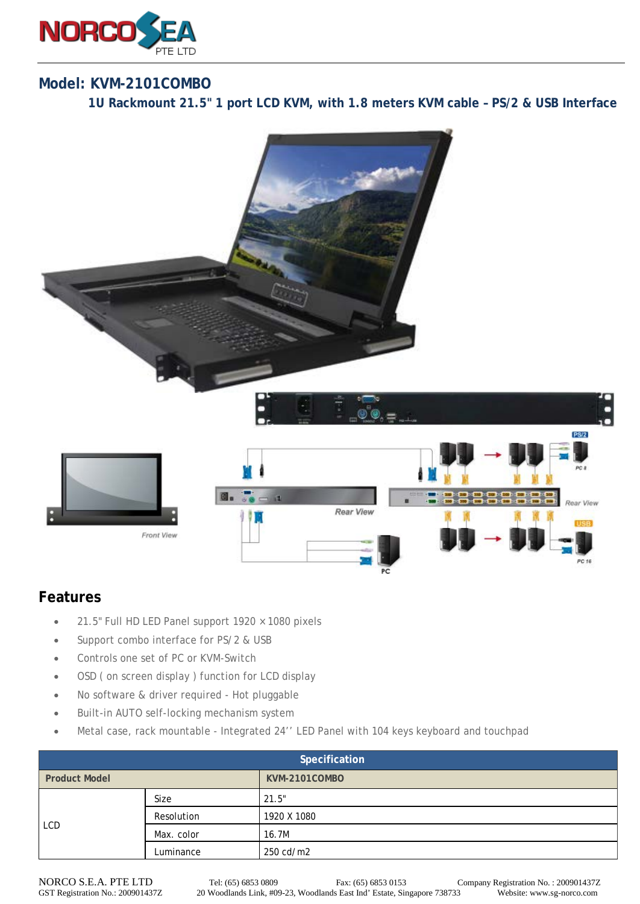

## **Model: KVM-2101COMBO**

**1U Rackmount 21.5" 1 port LCD KVM, with 1.8 meters KVM cable – PS/2 & USB Interface**



## **Features**

- 21.5" Full HD LED Panel support 1920 × 1080 pixels
- Support combo interface for PS/2 & USB
- Controls one set of PC or KVM-Switch
- OSD ( on screen display ) function for LCD display
- No software & driver required Hot pluggable
- Built-in AUTO self-locking mechanism system
- Metal case, rack mountable Integrated 24'' LED Panel with 104 keys keyboard and touchpad

| Specification        |            |               |  |  |
|----------------------|------------|---------------|--|--|
| <b>Product Model</b> |            | KVM-2101COMBO |  |  |
| <b>LCD</b>           | Size       | 21.5"         |  |  |
|                      | Resolution | 1920 X 1080   |  |  |
|                      | Max. color | 16.7M         |  |  |
|                      | Luminance  | 250 cd/m2     |  |  |